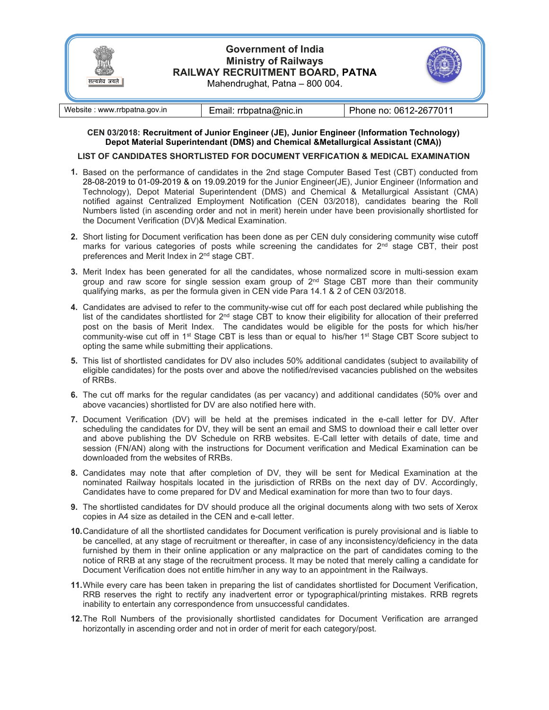

| Website : www.rrbpatna.gov.in | Email: rrbpatna@nic.in | Phone no: 0612-2677011 |
|-------------------------------|------------------------|------------------------|
|-------------------------------|------------------------|------------------------|

### CEN 03/2018: Recruitment of Junior Engineer (JE), Junior Engineer (Information Technology) Depot Material Superintendant (DMS) and Chemical &Metallurgical Assistant (CMA))

### LIST OF CANDIDATES SHORTLISTED FOR DOCUMENT VERFICATION & MEDICAL EXAMINATION

- 1. Based on the performance of candidates in the 2nd stage Computer Based Test (CBT) conducted from 28-08-2019 to 01-09-2019 & on 19.09.2019 for the Junior Engineer(JE), Junior Engineer (Information and Technology), Depot Material Superintendent (DMS) and Chemical & Metallurgical Assistant (CMA) notified against Centralized Employment Notification (CEN 03/2018), candidates bearing the Roll Numbers listed (in ascending order and not in merit) herein under have been provisionally shortlisted for the Document Verification (DV)& Medical Examination.
- 2. Short listing for Document verification has been done as per CEN duly considering community wise cutoff marks for various categories of posts while screening the candidates for  $2<sup>nd</sup>$  stage CBT, their post preferences and Merit Index in 2nd stage CBT.
- 3. Merit Index has been generated for all the candidates, whose normalized score in multi-session exam group and raw score for single session exam group of  $2<sup>nd</sup>$  Stage CBT more than their community qualifying marks, as per the formula given in CEN vide Para 14.1 & 2 of CEN 03/2018.
- 4. Candidates are advised to refer to the community-wise cut off for each post declared while publishing the list of the candidates shortlisted for  $2<sup>nd</sup>$  stage CBT to know their eligibility for allocation of their preferred post on the basis of Merit Index. The candidates would be eligible for the posts for which his/her community-wise cut off in 1<sup>st</sup> Stage CBT is less than or equal to his/her 1<sup>st</sup> Stage CBT Score subject to opting the same while submitting their applications.
- 5. This list of shortlisted candidates for DV also includes 50% additional candidates (subject to availability of eligible candidates) for the posts over and above the notified/revised vacancies published on the websites of RRBs.
- 6. The cut off marks for the regular candidates (as per vacancy) and additional candidates (50% over and above vacancies) shortlisted for DV are also notified here with.
- 7. Document Verification (DV) will be held at the premises indicated in the e-call letter for DV. After scheduling the candidates for DV, they will be sent an email and SMS to download their e call letter over and above publishing the DV Schedule on RRB websites. E-Call letter with details of date, time and session (FN/AN) along with the instructions for Document verification and Medical Examination can be downloaded from the websites of RRBs.
- 8. Candidates may note that after completion of DV, they will be sent for Medical Examination at the nominated Railway hospitals located in the jurisdiction of RRBs on the next day of DV. Accordingly, Candidates have to come prepared for DV and Medical examination for more than two to four days.
- 9. The shortlisted candidates for DV should produce all the original documents along with two sets of Xerox copies in A4 size as detailed in the CEN and e-call letter.
- 10. Candidature of all the shortlisted candidates for Document verification is purely provisional and is liable to be cancelled, at any stage of recruitment or thereafter, in case of any inconsistency/deficiency in the data furnished by them in their online application or any malpractice on the part of candidates coming to the notice of RRB at any stage of the recruitment process. It may be noted that merely calling a candidate for Document Verification does not entitle him/her in any way to an appointment in the Railways.
- 11. While every care has been taken in preparing the list of candidates shortlisted for Document Verification, RRB reserves the right to rectify any inadvertent error or typographical/printing mistakes. RRB regrets inability to entertain any correspondence from unsuccessful candidates.
- 12. The Roll Numbers of the provisionally shortlisted candidates for Document Verification are arranged horizontally in ascending order and not in order of merit for each category/post.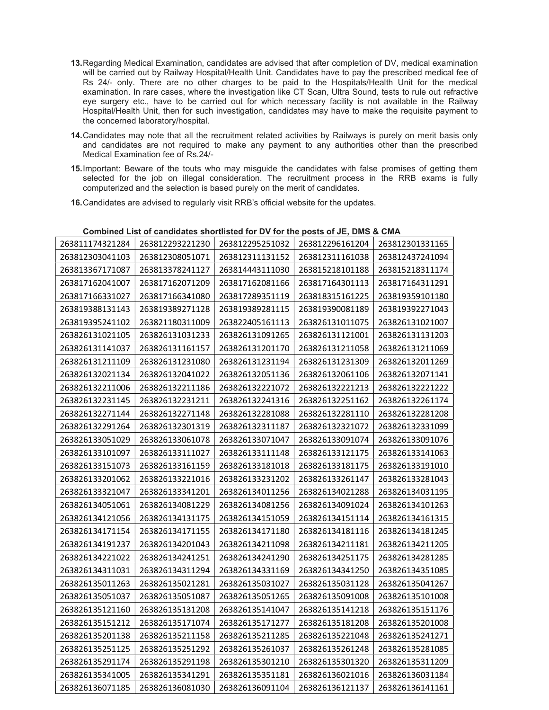- 13. Regarding Medical Examination, candidates are advised that after completion of DV, medical examination will be carried out by Railway Hospital/Health Unit. Candidates have to pay the prescribed medical fee of Rs 24/- only. There are no other charges to be paid to the Hospitals/Health Unit for the medical examination. In rare cases, where the investigation like CT Scan, Ultra Sound, tests to rule out refractive eye surgery etc., have to be carried out for which necessary facility is not available in the Railway Hospital/Health Unit, then for such investigation, candidates may have to make the requisite payment to the concerned laboratory/hospital.
- 14. Candidates may note that all the recruitment related activities by Railways is purely on merit basis only and candidates are not required to make any payment to any authorities other than the prescribed Medical Examination fee of Rs.24/-
- 15. Important: Beware of the touts who may misguide the candidates with false promises of getting them selected for the job on illegal consideration. The recruitment process in the RRB exams is fully computerized and the selection is based purely on the merit of candidates.
- 16. Candidates are advised to regularly visit RRB's official website for the updates.

|                 | <b>POTINTIAN EIGEDI DETAINMENT ON CHOICHOLD FOR TOT CHO POULD OF DET DING &amp; DING.</b> |                 |                 |                 |
|-----------------|-------------------------------------------------------------------------------------------|-----------------|-----------------|-----------------|
| 263811174321284 | 263812293221230                                                                           | 263812295251032 | 263812296161204 | 263812301331165 |
| 263812303041103 | 263812308051071                                                                           | 263812311131152 | 263812311161038 | 263812437241094 |
| 263813367171087 | 263813378241127                                                                           | 263814443111030 | 263815218101188 | 263815218311174 |
| 263817162041007 | 263817162071209                                                                           | 263817162081166 | 263817164301113 | 263817164311291 |
| 263817166331027 | 263817166341080                                                                           | 263817289351119 | 263818315161225 | 263819359101180 |
| 263819388131143 | 263819389271128                                                                           | 263819389281115 | 263819390081189 | 263819392271043 |
| 263819395241102 | 263821180311009                                                                           | 263822405161113 | 263826131011075 | 263826131021007 |
| 263826131021105 | 263826131031233                                                                           | 263826131091265 | 263826131121001 | 263826131131203 |
| 263826131141037 | 263826131161157                                                                           | 263826131201170 | 263826131211058 | 263826131211069 |
| 263826131211109 | 263826131231080                                                                           | 263826131231194 | 263826131231309 | 263826132011269 |
| 263826132021134 | 263826132041022                                                                           | 263826132051136 | 263826132061106 | 263826132071141 |
| 263826132211006 | 263826132211186                                                                           | 263826132221072 | 263826132221213 | 263826132221222 |
| 263826132231145 | 263826132231211                                                                           | 263826132241316 | 263826132251162 | 263826132261174 |
| 263826132271144 | 263826132271148                                                                           | 263826132281088 | 263826132281110 | 263826132281208 |
| 263826132291264 | 263826132301319                                                                           | 263826132311187 | 263826132321072 | 263826132331099 |
| 263826133051029 | 263826133061078                                                                           | 263826133071047 | 263826133091074 | 263826133091076 |
| 263826133101097 | 263826133111027                                                                           | 263826133111148 | 263826133121175 | 263826133141063 |
| 263826133151073 | 263826133161159                                                                           | 263826133181018 | 263826133181175 | 263826133191010 |
| 263826133201062 | 263826133221016                                                                           | 263826133231202 | 263826133261147 | 263826133281043 |
| 263826133321047 | 263826133341201                                                                           | 263826134011256 | 263826134021288 | 263826134031195 |
| 263826134051061 | 263826134081229                                                                           | 263826134081256 | 263826134091024 | 263826134101263 |
| 263826134121056 | 263826134131175                                                                           | 263826134151059 | 263826134151114 | 263826134161315 |
| 263826134171154 | 263826134171155                                                                           | 263826134171180 | 263826134181116 | 263826134181245 |
| 263826134191237 | 263826134201043                                                                           | 263826134211098 | 263826134211181 | 263826134211205 |
| 263826134221022 | 263826134241251                                                                           | 263826134241290 | 263826134251175 | 263826134281285 |
| 263826134311031 | 263826134311294                                                                           | 263826134331169 | 263826134341250 | 263826134351085 |
| 263826135011263 | 263826135021281                                                                           | 263826135031027 | 263826135031128 | 263826135041267 |
| 263826135051037 | 263826135051087                                                                           | 263826135051265 | 263826135091008 | 263826135101008 |
| 263826135121160 | 263826135131208                                                                           | 263826135141047 | 263826135141218 | 263826135151176 |
| 263826135151212 | 263826135171074                                                                           | 263826135171277 | 263826135181208 | 263826135201008 |
| 263826135201138 | 263826135211158                                                                           | 263826135211285 | 263826135221048 | 263826135241271 |
| 263826135251125 | 263826135251292                                                                           | 263826135261037 | 263826135261248 | 263826135281085 |
| 263826135291174 | 263826135291198                                                                           | 263826135301210 | 263826135301320 | 263826135311209 |
| 263826135341005 | 263826135341291                                                                           | 263826135351181 | 263826136021016 | 263826136031184 |
| 263826136071185 | 263826136081030                                                                           | 263826136091104 | 263826136121137 | 263826136141161 |

## Combined List of candidates shortlisted for DV for the posts of JE, DMS & CMA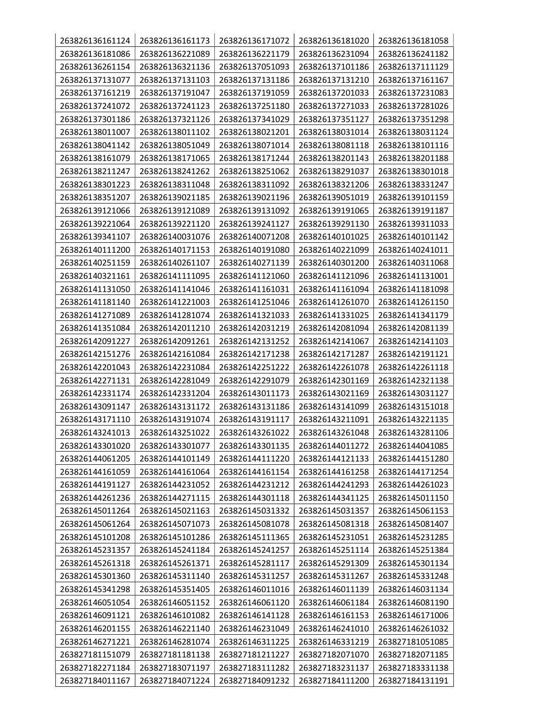| 263826136161124 | 263826136161173 | 263826136171072 | 263826136181020 | 263826136181058 |
|-----------------|-----------------|-----------------|-----------------|-----------------|
| 263826136181086 | 263826136221089 | 263826136221179 | 263826136231094 | 263826136241182 |
| 263826136261154 | 263826136321136 | 263826137051093 | 263826137101186 | 263826137111129 |
| 263826137131077 | 263826137131103 | 263826137131186 | 263826137131210 | 263826137161167 |
| 263826137161219 | 263826137191047 | 263826137191059 | 263826137201033 | 263826137231083 |
| 263826137241072 | 263826137241123 | 263826137251180 | 263826137271033 | 263826137281026 |
| 263826137301186 | 263826137321126 | 263826137341029 | 263826137351127 | 263826137351298 |
| 263826138011007 | 263826138011102 | 263826138021201 | 263826138031014 | 263826138031124 |
| 263826138041142 | 263826138051049 | 263826138071014 | 263826138081118 | 263826138101116 |
| 263826138161079 | 263826138171065 | 263826138171244 | 263826138201143 | 263826138201188 |
| 263826138211247 | 263826138241262 | 263826138251062 | 263826138291037 | 263826138301018 |
| 263826138301223 | 263826138311048 | 263826138311092 | 263826138321206 | 263826138331247 |
| 263826138351207 | 263826139021185 | 263826139021196 | 263826139051019 | 263826139101159 |
| 263826139121066 | 263826139121089 | 263826139131092 | 263826139191065 | 263826139191187 |
| 263826139221064 | 263826139221120 | 263826139241127 | 263826139291130 | 263826139311033 |
| 263826139341107 | 263826140031076 | 263826140071208 | 263826140101025 | 263826140101142 |
| 263826140111200 | 263826140171153 | 263826140191080 | 263826140221099 | 263826140241011 |
| 263826140251159 | 263826140261107 | 263826140271139 | 263826140301200 | 263826140311068 |
| 263826140321161 | 263826141111095 | 263826141121060 | 263826141121096 | 263826141131001 |
| 263826141131050 | 263826141141046 | 263826141161031 | 263826141161094 | 263826141181098 |
| 263826141181140 | 263826141221003 | 263826141251046 | 263826141261070 | 263826141261150 |
| 263826141271089 | 263826141281074 | 263826141321033 | 263826141331025 | 263826141341179 |
| 263826141351084 | 263826142011210 | 263826142031219 | 263826142081094 | 263826142081139 |
| 263826142091227 | 263826142091261 | 263826142131252 | 263826142141067 | 263826142141103 |
| 263826142151276 | 263826142161084 | 263826142171238 | 263826142171287 | 263826142191121 |
| 263826142201043 | 263826142231084 | 263826142251222 | 263826142261078 | 263826142261118 |
| 263826142271131 | 263826142281049 | 263826142291079 | 263826142301169 | 263826142321138 |
| 263826142331174 | 263826142331204 | 263826143011173 | 263826143021169 | 263826143031127 |
| 263826143091147 | 263826143131172 | 263826143131186 | 263826143141099 | 263826143151018 |
| 263826143171110 | 263826143191074 | 263826143191117 | 263826143211091 | 263826143221135 |
| 263826143241013 | 263826143251022 | 263826143261022 | 263826143261048 | 263826143281106 |
| 263826143301020 | 263826143301077 | 263826143301135 | 263826144011272 | 263826144041085 |
| 263826144061205 | 263826144101149 | 263826144111220 | 263826144121133 | 263826144151280 |
| 263826144161059 | 263826144161064 | 263826144161154 | 263826144161258 | 263826144171254 |
| 263826144191127 | 263826144231052 | 263826144231212 | 263826144241293 | 263826144261023 |
| 263826144261236 | 263826144271115 | 263826144301118 | 263826144341125 | 263826145011150 |
| 263826145011264 | 263826145021163 | 263826145031332 | 263826145031357 | 263826145061153 |
| 263826145061264 | 263826145071073 | 263826145081078 | 263826145081318 | 263826145081407 |
| 263826145101208 | 263826145101286 | 263826145111365 | 263826145231051 | 263826145231285 |
| 263826145231357 | 263826145241184 | 263826145241257 | 263826145251114 | 263826145251384 |
| 263826145261318 | 263826145261371 | 263826145281117 | 263826145291309 | 263826145301134 |
| 263826145301360 | 263826145311140 | 263826145311257 | 263826145311267 | 263826145331248 |
| 263826145341298 | 263826145351405 | 263826146011016 | 263826146011139 | 263826146031134 |
| 263826146051054 | 263826146051152 | 263826146061120 | 263826146061184 | 263826146081190 |
| 263826146091121 | 263826146101082 | 263826146141128 | 263826146161153 | 263826146171006 |
| 263826146201155 | 263826146221140 | 263826146231049 | 263826146241010 | 263826146261032 |
| 263826146271221 | 263826146281074 | 263826146311225 | 263826146331219 | 263827181051085 |
| 263827181151079 | 263827181181138 | 263827181211227 | 263827182071070 | 263827182071185 |
| 263827182271184 | 263827183071197 | 263827183111282 | 263827183231137 | 263827183331138 |
| 263827184011167 | 263827184071224 | 263827184091232 | 263827184111200 | 263827184131191 |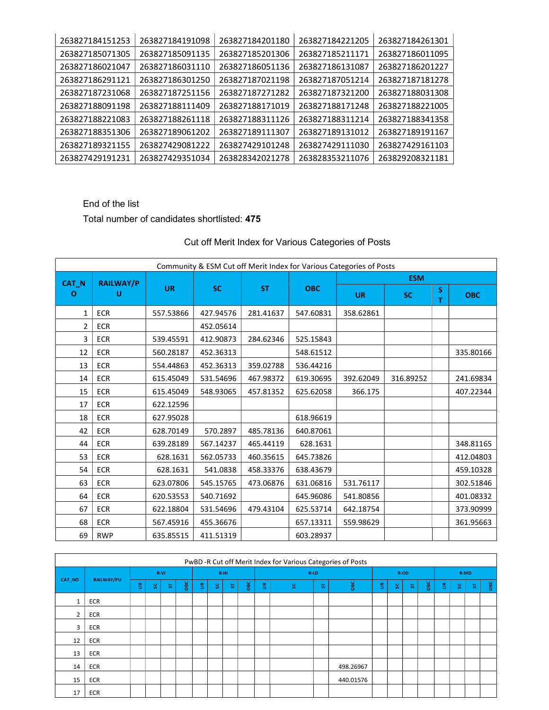| 263827184151253 | 263827184191098 | 263827184201180 | 263827184221205 | 263827184261301 |
|-----------------|-----------------|-----------------|-----------------|-----------------|
| 263827185071305 | 263827185091135 | 263827185201306 | 263827185211171 | 263827186011095 |
| 263827186021047 | 263827186031110 | 263827186051136 | 263827186131087 | 263827186201227 |
| 263827186291121 | 263827186301250 | 263827187021198 | 263827187051214 | 263827187181278 |
| 263827187231068 | 263827187251156 | 263827187271282 | 263827187321200 | 263827188031308 |
| 263827188091198 | 263827188111409 | 263827188171019 | 263827188171248 | 263827188221005 |
| 263827188221083 | 263827188261118 | 263827188311126 | 263827188311214 | 263827188341358 |
| 263827188351306 | 263827189061202 | 263827189111307 | 263827189131012 | 263827189191167 |
| 263827189321155 | 263827429081222 | 263827429101248 | 263827429111030 | 263827429161103 |
| 263827429191231 | 263827429351034 | 263828342021278 | 263828353211076 | 263829208321181 |

# End of the list

# Total number of candidates shortlisted: 475

|              |                  |           | Community & ESM Cut off Merit Index for Various Categories of Posts |           |            |            |           |        |            |  |  |  |
|--------------|------------------|-----------|---------------------------------------------------------------------|-----------|------------|------------|-----------|--------|------------|--|--|--|
| CAT_N        | <b>RAILWAY/P</b> |           |                                                                     |           |            | <b>ESM</b> |           |        |            |  |  |  |
| O            | U                | <b>UR</b> | <b>SC</b>                                                           | <b>ST</b> | <b>OBC</b> | <b>UR</b>  | <b>SC</b> | S<br>т | <b>OBC</b> |  |  |  |
| $\mathbf{1}$ | <b>ECR</b>       | 557.53866 | 427.94576                                                           | 281.41637 | 547.60831  | 358.62861  |           |        |            |  |  |  |
| 2            | <b>ECR</b>       |           | 452.05614                                                           |           |            |            |           |        |            |  |  |  |
| 3            | <b>ECR</b>       | 539.45591 | 412.90873                                                           | 284.62346 | 525.15843  |            |           |        |            |  |  |  |
| 12           | <b>ECR</b>       | 560.28187 | 452.36313                                                           |           | 548.61512  |            |           |        | 335.80166  |  |  |  |
| 13           | <b>ECR</b>       | 554.44863 | 452.36313                                                           | 359.02788 | 536.44216  |            |           |        |            |  |  |  |
| 14           | <b>ECR</b>       | 615.45049 | 531.54696                                                           | 467.98372 | 619.30695  | 392.62049  | 316.89252 |        | 241.69834  |  |  |  |
| 15           | <b>ECR</b>       | 615.45049 | 548.93065                                                           | 457.81352 | 625.62058  | 366.175    |           |        | 407.22344  |  |  |  |
| 17           | <b>ECR</b>       | 622.12596 |                                                                     |           |            |            |           |        |            |  |  |  |
| 18           | ECR              | 627.95028 |                                                                     |           | 618.96619  |            |           |        |            |  |  |  |
| 42           | <b>ECR</b>       | 628.70149 | 570.2897                                                            | 485.78136 | 640.87061  |            |           |        |            |  |  |  |
| 44           | <b>ECR</b>       | 639.28189 | 567.14237                                                           | 465.44119 | 628.1631   |            |           |        | 348.81165  |  |  |  |
| 53           | <b>ECR</b>       | 628.1631  | 562.05733                                                           | 460.35615 | 645.73826  |            |           |        | 412.04803  |  |  |  |
| 54           | <b>ECR</b>       | 628.1631  | 541.0838                                                            | 458.33376 | 638.43679  |            |           |        | 459.10328  |  |  |  |
| 63           | <b>ECR</b>       | 623.07806 | 545.15765                                                           | 473.06876 | 631.06816  | 531.76117  |           |        | 302.51846  |  |  |  |
| 64           | <b>ECR</b>       | 620.53553 | 540.71692                                                           |           | 645.96086  | 541.80856  |           |        | 401.08332  |  |  |  |
| 67           | ECR              | 622.18804 | 531.54696                                                           | 479.43104 | 625.53714  | 642.18754  |           |        | 373.90999  |  |  |  |
| 68           | <b>ECR</b>       | 567.45916 | 455.36676                                                           |           | 657.13311  | 559.98629  |           |        | 361.95663  |  |  |  |
| 69           | <b>RWP</b>       | 635.85515 | 411.51319                                                           |           | 603.28937  |            |           |        |            |  |  |  |

# Cut off Merit Index for Various Categories of Posts

| PwBD -R Cut off Merit Index for Various Categories of Posts |                   |   |     |      |             |   |        |   |                |   |         |   |           |    |      |   |             |   |      |   |           |  |
|-------------------------------------------------------------|-------------------|---|-----|------|-------------|---|--------|---|----------------|---|---------|---|-----------|----|------|---|-------------|---|------|---|-----------|--|
|                                                             |                   |   |     | R-VI |             |   | $R-HI$ |   |                |   | $R$ -LD |   |           |    | R-OD |   |             |   | R-MD |   |           |  |
| CAT_NO                                                      | <b>RAILWAY/PU</b> | ÷ | ့္တ | 氛    | $rac{6}{2}$ | ÷ | ွှ     | 易 | B <sub>S</sub> | 旨 | ွှ      | 局 | OBC       | ã. | ွှ   | 员 | $rac{6}{2}$ | ÷ | S.   | 员 | <b>BC</b> |  |
|                                                             | ECR               |   |     |      |             |   |        |   |                |   |         |   |           |    |      |   |             |   |      |   |           |  |
| $\overline{2}$                                              | ECR               |   |     |      |             |   |        |   |                |   |         |   |           |    |      |   |             |   |      |   |           |  |
| 3                                                           | ECR               |   |     |      |             |   |        |   |                |   |         |   |           |    |      |   |             |   |      |   |           |  |
| 12                                                          | ECR               |   |     |      |             |   |        |   |                |   |         |   |           |    |      |   |             |   |      |   |           |  |
| 13                                                          | ECR               |   |     |      |             |   |        |   |                |   |         |   |           |    |      |   |             |   |      |   |           |  |
| 14                                                          | ECR               |   |     |      |             |   |        |   |                |   |         |   | 498.26967 |    |      |   |             |   |      |   |           |  |
| 15                                                          | ECR               |   |     |      |             |   |        |   |                |   |         |   | 440.01576 |    |      |   |             |   |      |   |           |  |
| 17                                                          | <b>ECR</b>        |   |     |      |             |   |        |   |                |   |         |   |           |    |      |   |             |   |      |   |           |  |